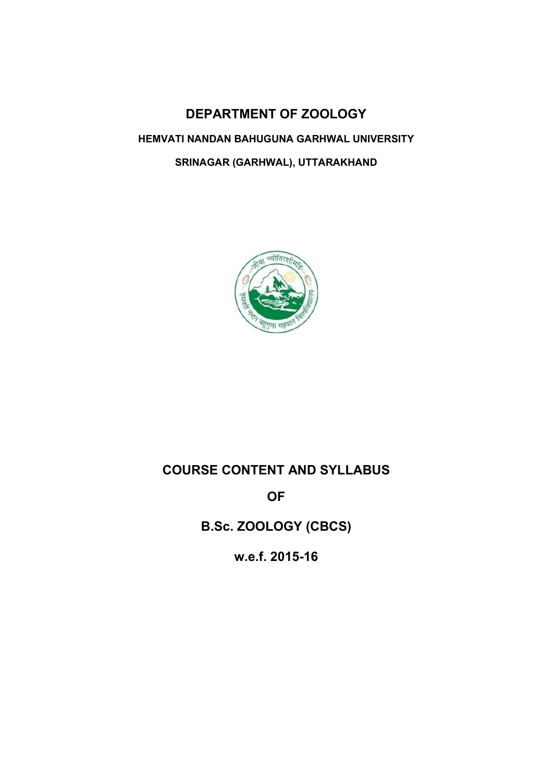# DEPARTMENT OF ZOOLOGY HEMVATI NANDAN BAHUGUNA GARHWAL UNIVERSITY SRINAGAR (GARHWAL), UTTARAKHAND



# COURSE CONTENT AND SYLLABUS

OF

B.Sc. ZOOLOGY (CBCS)

w.e.f. 2015-16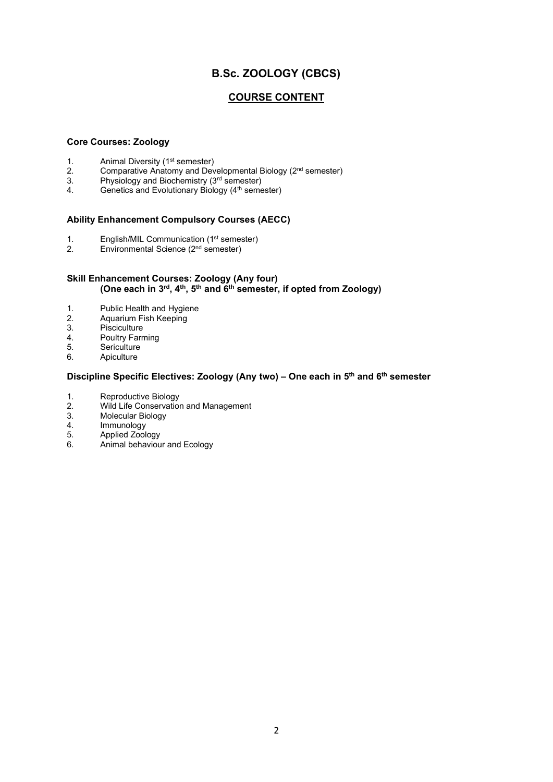# B.Sc. ZOOLOGY (CBCS)

# COURSE CONTENT

# Core Courses: Zoology

- 1. Animal Diversity (1<sup>st</sup> semester)<br>2. Comparative Anatomy and Dev
- 2. Comparative Anatomy and Developmental Biology ( $2<sup>nd</sup>$  semester)<br>3. Physiology and Biochemistry ( $3<sup>rd</sup>$  semester)
- Physiology and Biochemistry (3rd semester)
- 4. Genetics and Evolutionary Biology (4<sup>th</sup> semester)

# Ability Enhancement Compulsory Courses (AECC)

- 1. English/MIL Communication  $(1<sup>st</sup>$  semester)<br>2. Environmental Science  $(2<sup>nd</sup>$  semester)
- Environmental Science (2<sup>nd</sup> semester)

# Skill Enhancement Courses: Zoology (Any four) (One each in  $3^{rd}$ ,  $4^{th}$ ,  $5^{th}$  and  $6^{th}$  semester, if opted from Zoology)

- 1. Public Health and Hygiene<br>2. Aquarium Fish Keeping
- Aquarium Fish Keeping
- 3. Pisciculture<br>4. Poultry Farr
- 4. Poultry Farming<br>5. Sericulture
- **Sericulture**
- 6. Apiculture

# Discipline Specific Electives: Zoology (Any two) - One each in 5<sup>th</sup> and 6<sup>th</sup> semester

- 1. Reproductive Biology<br>2. Wild Life Conservation
- 2. Wild Life Conservation and Management<br>3. Molecular Biology
- 3. Molecular Biology<br>4. Immunology
- 4. Immunology<br>5. Applied Zool
- 5. Applied Zoology<br>6. Animal behaviou
- Animal behaviour and Ecology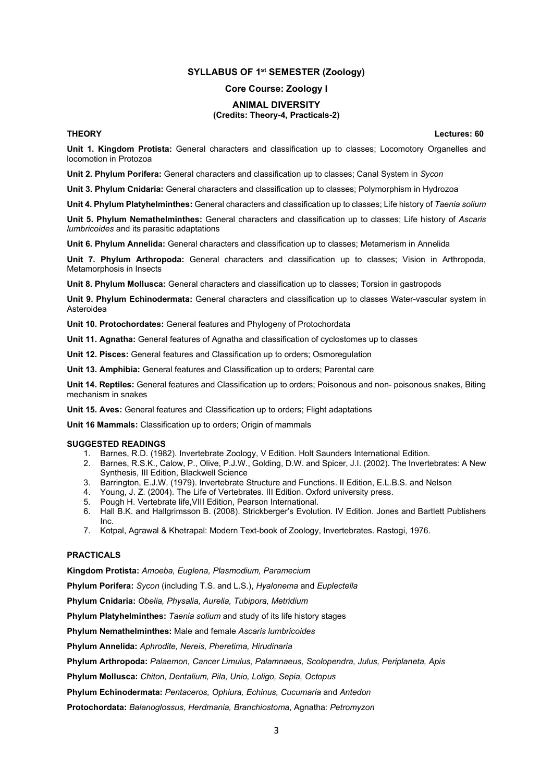# SYLLABUS OF 1<sup>st</sup> SEMESTER (Zoology)

### Core Course: Zoology I

#### ANIMAL DIVERSITY

### (Credits: Theory-4, Practicals-2)

THEORY Lectures: 60

Unit 1. Kingdom Protista: General characters and classification up to classes; Locomotory Organelles and locomotion in Protozoa

Unit 2. Phylum Porifera: General characters and classification up to classes; Canal System in Sycon

Unit 3. Phylum Cnidaria: General characters and classification up to classes; Polymorphism in Hydrozoa

Unit 4. Phylum Platyhelminthes: General characters and classification up to classes: Life history of Taenia solium

Unit 5. Phylum Nemathelminthes: General characters and classification up to classes: Life history of Ascaris lumbricoides and its parasitic adaptations

Unit 6. Phylum Annelida: General characters and classification up to classes; Metamerism in Annelida

Unit 7. Phylum Arthropoda: General characters and classification up to classes; Vision in Arthropoda, Metamorphosis in Insects

Unit 8. Phylum Mollusca: General characters and classification up to classes; Torsion in gastropods

Unit 9. Phylum Echinodermata: General characters and classification up to classes Water-vascular system in Asteroidea

Unit 10. Protochordates: General features and Phylogeny of Protochordata

Unit 11. Agnatha: General features of Agnatha and classification of cyclostomes up to classes

Unit 12. Pisces: General features and Classification up to orders; Osmoregulation

Unit 13. Amphibia: General features and Classification up to orders; Parental care

Unit 14. Reptiles: General features and Classification up to orders; Poisonous and non- poisonous snakes, Biting mechanism in snakes

Unit 15. Aves: General features and Classification up to orders; Flight adaptations

Unit 16 Mammals: Classification up to orders: Origin of mammals

#### SUGGESTED READINGS

- 1. Barnes, R.D. (1982). Invertebrate Zoology, V Edition. Holt Saunders International Edition.
- 2. Barnes, R.S.K., Calow, P., Olive, P.J.W., Golding, D.W. and Spicer, J.I. (2002). The Invertebrates: A New Synthesis, III Edition, Blackwell Science
- 3. Barrington, E.J.W. (1979). Invertebrate Structure and Functions. II Edition, E.L.B.S. and Nelson
- 4. Young, J. Z. (2004). The Life of Vertebrates. III Edition. Oxford university press.
- 5. Pough H. Vertebrate life,VIII Edition, Pearson International.
- 6. Hall B.K. and Hallgrimsson B. (2008). Strickberger's Evolution. IV Edition. Jones and Bartlett Publishers Inc.
- 7. Kotpal, Agrawal & Khetrapal: Modern Text-book of Zoology, Invertebrates. Rastogi, 1976.

# PRACTICALS

Kingdom Protista: Amoeba, Euglena, Plasmodium, Paramecium

Phylum Porifera: Sycon (including T.S. and L.S.), Hyalonema and Euplectella

Phylum Cnidaria: Obelia, Physalia, Aurelia, Tubipora, Metridium

Phylum Platyhelminthes: Taenia solium and study of its life history stages

Phylum Nemathelminthes: Male and female Ascaris lumbricoides

Phylum Annelida: Aphrodite, Nereis, Pheretima, Hirudinaria

Phylum Arthropoda: Palaemon, Cancer Limulus, Palamnaeus, Scolopendra, Julus, Periplaneta, Apis

Phylum Mollusca: Chiton, Dentalium, Pila, Unio, Loligo, Sepia, Octopus

Phylum Echinodermata: Pentaceros, Ophiura, Echinus, Cucumaria and Antedon

Protochordata: Balanoglossus, Herdmania, Branchiostoma, Agnatha: Petromyzon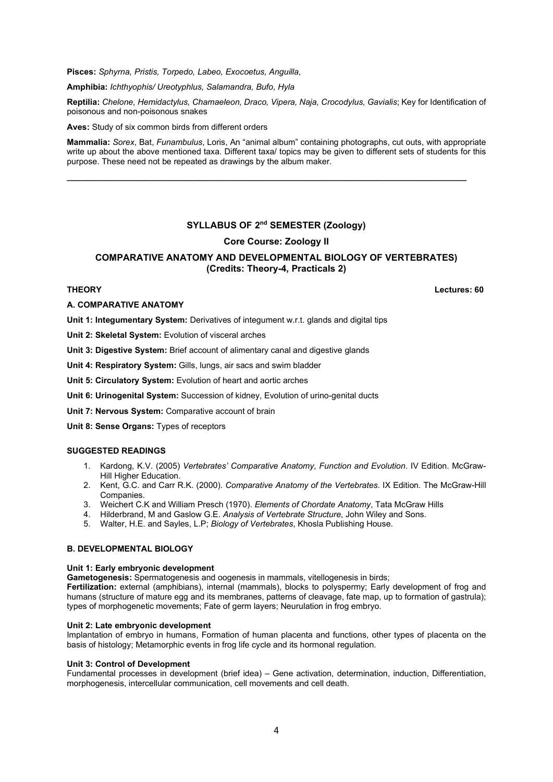Pisces: Sphyrna, Pristis, Torpedo, Labeo, Exocoetus, Anguilla,

Amphibia: Ichthyophis/ Ureotyphlus, Salamandra, Bufo, Hyla

Reptilia: Chelone, Hemidactylus, Chamaeleon, Draco, Vipera, Naja, Crocodylus, Gavialis; Key for Identification of poisonous and non-poisonous snakes

Aves: Study of six common birds from different orders

Mammalia: Sorex, Bat, Funambulus, Loris, An "animal album" containing photographs, cut outs, with appropriate write up about the above mentioned taxa. Different taxa/ topics may be given to different sets of students for this purpose. These need not be repeated as drawings by the album maker.

\_\_\_\_\_\_\_\_\_\_\_\_\_\_\_\_\_\_\_\_\_\_\_\_\_\_\_\_\_\_\_\_\_\_\_\_\_\_\_\_\_\_\_\_\_\_\_\_\_\_\_\_\_\_\_\_\_\_\_\_\_\_\_\_\_\_\_\_\_\_\_\_\_\_\_\_\_\_\_\_\_\_\_\_\_\_

# SYLLABUS OF 2nd SEMESTER (Zoology)

# Core Course: Zoology II

# COMPARATIVE ANATOMY AND DEVELOPMENTAL BIOLOGY OF VERTEBRATES) (Credits: Theory-4, Practicals 2)

#### THEORY Lectures: 60

#### A. COMPARATIVE ANATOMY

Unit 1: Integumentary System: Derivatives of integument w.r.t. glands and digital tips

Unit 2: Skeletal System: Evolution of visceral arches

Unit 3: Digestive System: Brief account of alimentary canal and digestive glands

Unit 4: Respiratory System: Gills, lungs, air sacs and swim bladder

Unit 5: Circulatory System: Evolution of heart and aortic arches

Unit 6: Urinogenital System: Succession of kidney, Evolution of urino-genital ducts

Unit 7: Nervous System: Comparative account of brain

Unit 8: Sense Organs: Types of receptors

### SUGGESTED READINGS

- 1. Kardong, K.V. (2005) Vertebrates' Comparative Anatomy, Function and Evolution. IV Edition. McGraw-Hill Higher Education.
- 2. Kent, G.C. and Carr R.K. (2000). Comparative Anatomy of the Vertebrates. IX Edition. The McGraw-Hill Companies.
- 3. Weichert C.K and William Presch (1970). Elements of Chordate Anatomy, Tata McGraw Hills
- 4. Hilderbrand, M and Gaslow G.E. Analysis of Vertebrate Structure, John Wiley and Sons.
- 5. Walter, H.E. and Sayles, L.P; Biology of Vertebrates, Khosla Publishing House.

# B. DEVELOPMENTAL BIOLOGY

#### Unit 1: Early embryonic development

Gametogenesis: Spermatogenesis and oogenesis in mammals, vitellogenesis in birds;

Fertilization: external (amphibians), internal (mammals), blocks to polyspermy; Early development of frog and humans (structure of mature egg and its membranes, patterns of cleavage, fate map, up to formation of gastrula); types of morphogenetic movements; Fate of germ layers; Neurulation in frog embryo.

#### Unit 2: Late embryonic development

Implantation of embryo in humans, Formation of human placenta and functions, other types of placenta on the basis of histology; Metamorphic events in frog life cycle and its hormonal regulation.

#### Unit 3: Control of Development

Fundamental processes in development (brief idea) – Gene activation, determination, induction, Differentiation, morphogenesis, intercellular communication, cell movements and cell death.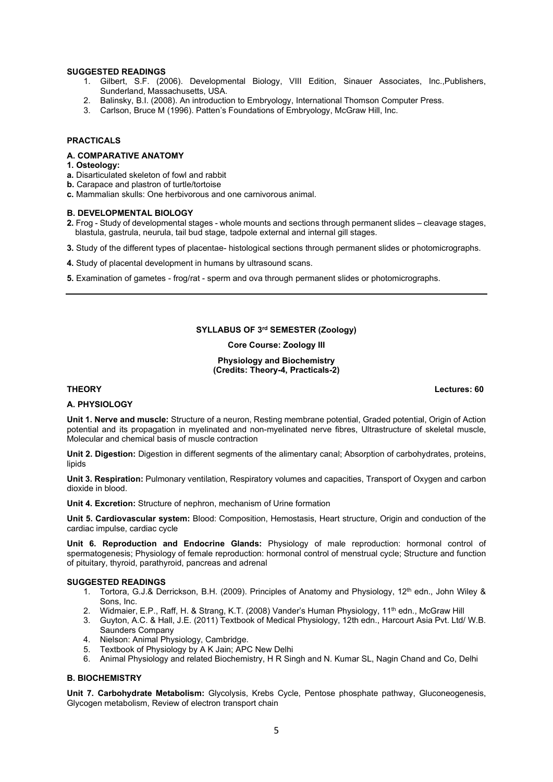#### SUGGESTED READINGS

- 1. Gilbert, S.F. (2006). Developmental Biology, VIII Edition, Sinauer Associates, Inc.,Publishers, Sunderland, Massachusetts, USA.
- 2. Balinsky, B.I. (2008). An introduction to Embryology, International Thomson Computer Press.
- 3. Carlson, Bruce M (1996). Patten's Foundations of Embryology, McGraw Hill, Inc.

# PRACTICALS

#### A. COMPARATIVE ANATOMY

- 1. Osteology:
- a. Disarticulated skeleton of fowl and rabbit
- b. Carapace and plastron of turtle/tortoise
- c. Mammalian skulls: One herbivorous and one carnivorous animal.

#### B. DEVELOPMENTAL BIOLOGY

- 2. Frog Study of developmental stages whole mounts and sections through permanent slides cleavage stages, blastula, gastrula, neurula, tail bud stage, tadpole external and internal gill stages.
- 3. Study of the different types of placentae- histological sections through permanent slides or photomicrographs.
- 4. Study of placental development in humans by ultrasound scans.
- 5. Examination of gametes frog/rat sperm and ova through permanent slides or photomicrographs.

# SYLLABUS OF 3rd SEMESTER (Zoology)

Core Course: Zoology III

### Physiology and Biochemistry (Credits: Theory-4, Practicals-2)

#### A. PHYSIOLOGY

Unit 1. Nerve and muscle: Structure of a neuron, Resting membrane potential, Graded potential, Origin of Action potential and its propagation in myelinated and non-myelinated nerve fibres, Ultrastructure of skeletal muscle, Molecular and chemical basis of muscle contraction

Unit 2. Digestion: Digestion in different segments of the alimentary canal; Absorption of carbohydrates, proteins, lipids

Unit 3. Respiration: Pulmonary ventilation, Respiratory volumes and capacities, Transport of Oxygen and carbon dioxide in blood.

Unit 4. Excretion: Structure of nephron, mechanism of Urine formation

Unit 5. Cardiovascular system: Blood: Composition, Hemostasis, Heart structure, Origin and conduction of the cardiac impulse, cardiac cycle

Unit 6. Reproduction and Endocrine Glands: Physiology of male reproduction: hormonal control of spermatogenesis; Physiology of female reproduction: hormonal control of menstrual cycle; Structure and function of pituitary, thyroid, parathyroid, pancreas and adrenal

#### SUGGESTED READINGS

- 1. Tortora, G.J.& Derrickson, B.H. (2009). Principles of Anatomy and Physiology, 12<sup>th</sup> edn., John Wiley & Sons, Inc.
- 2. Widmaier, E.P., Raff, H. & Strang, K.T. (2008) Vander's Human Physiology, 11<sup>th</sup> edn., McGraw Hill
- 3. Guyton, A.C. & Hall, J.E. (2011) Textbook of Medical Physiology, 12th edn., Harcourt Asia Pvt. Ltd/ W.B. Saunders Company
- 4. Nielson: Animal Physiology, Cambridge.
- 5. Textbook of Physiology by A K Jain; APC New Delhi
- 6. Animal Physiology and related Biochemistry, H R Singh and N. Kumar SL, Nagin Chand and Co, Delhi

#### B. BIOCHEMISTRY

Unit 7. Carbohydrate Metabolism: Glycolysis, Krebs Cycle, Pentose phosphate pathway, Gluconeogenesis, Glycogen metabolism, Review of electron transport chain

THEORY Lectures: 60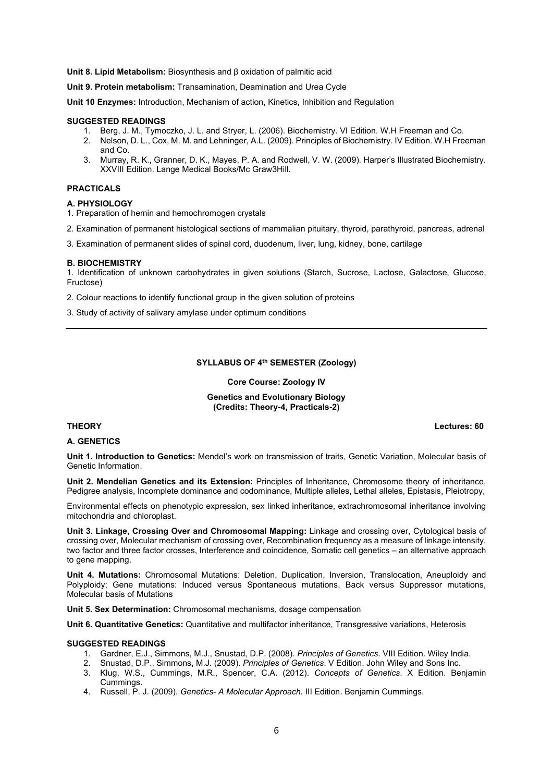Unit 8. Lipid Metabolism: Biosynthesis and β oxidation of palmitic acid

Unit 9. Protein metabolism: Transamination, Deamination and Urea Cycle

Unit 10 Enzymes: Introduction, Mechanism of action, Kinetics, Inhibition and Regulation

#### SUGGESTED READINGS

- 1. Berg, J. M., Tymoczko, J. L. and Stryer, L. (2006). Biochemistry. VI Edition. W.H Freeman and Co.
- 2. Nelson, D. L., Cox, M. M. and Lehninger, A.L. (2009). Principles of Biochemistry. IV Edition. W.H Freeman and Co.
- 3. Murray, R. K., Granner, D. K., Mayes, P. A. and Rodwell, V. W. (2009). Harper's Illustrated Biochemistry. XXVIII Edition. Lange Medical Books/Mc Graw3Hill.

### PRACTICALS

#### A. PHYSIOLOGY

1. Preparation of hemin and hemochromogen crystals

2. Examination of permanent histological sections of mammalian pituitary, thyroid, parathyroid, pancreas, adrenal

3. Examination of permanent slides of spinal cord, duodenum, liver, lung, kidney, bone, cartilage

#### B. BIOCHEMISTRY

1. Identification of unknown carbohydrates in given solutions (Starch, Sucrose, Lactose, Galactose, Glucose, Fructose)

2. Colour reactions to identify functional group in the given solution of proteins

3. Study of activity of salivary amylase under optimum conditions

# SYLLABUS OF 4th SEMESTER (Zoology)

Core Course: Zoology IV

#### Genetics and Evolutionary Biology (Credits: Theory-4, Practicals-2)

#### A. GENETICS

Unit 1. Introduction to Genetics: Mendel's work on transmission of traits, Genetic Variation, Molecular basis of Genetic Information.

Unit 2. Mendelian Genetics and its Extension: Principles of Inheritance, Chromosome theory of inheritance, Pedigree analysis, Incomplete dominance and codominance, Multiple alleles, Lethal alleles, Epistasis, Pleiotropy,

Environmental effects on phenotypic expression, sex linked inheritance, extrachromosomal inheritance involving mitochondria and chloroplast.

Unit 3. Linkage, Crossing Over and Chromosomal Mapping: Linkage and crossing over, Cytological basis of crossing over, Molecular mechanism of crossing over, Recombination frequency as a measure of linkage intensity, two factor and three factor crosses, Interference and coincidence, Somatic cell genetics – an alternative approach to gene mapping.

Unit 4. Mutations: Chromosomal Mutations: Deletion, Duplication, Inversion, Translocation, Aneuploidy and Polyploidy; Gene mutations: Induced versus Spontaneous mutations, Back versus Suppressor mutations, Molecular basis of Mutations

Unit 5. Sex Determination: Chromosomal mechanisms, dosage compensation

Unit 6. Quantitative Genetics: Quantitative and multifactor inheritance, Transgressive variations, Heterosis

#### SUGGESTED READINGS

- 1. Gardner, E.J., Simmons, M.J., Snustad, D.P. (2008). Principles of Genetics. VIII Edition. Wiley India.
- 2. Snustad, D.P., Simmons, M.J. (2009). Principles of Genetics. V Edition. John Wiley and Sons Inc.
- 3. Klug, W.S., Cummings, M.R., Spencer, C.A. (2012). Concepts of Genetics. X Edition. Benjamin Cummings.
- 4. Russell, P. J. (2009). Genetics- A Molecular Approach. III Edition. Benjamin Cummings.

THEORY Lectures: 60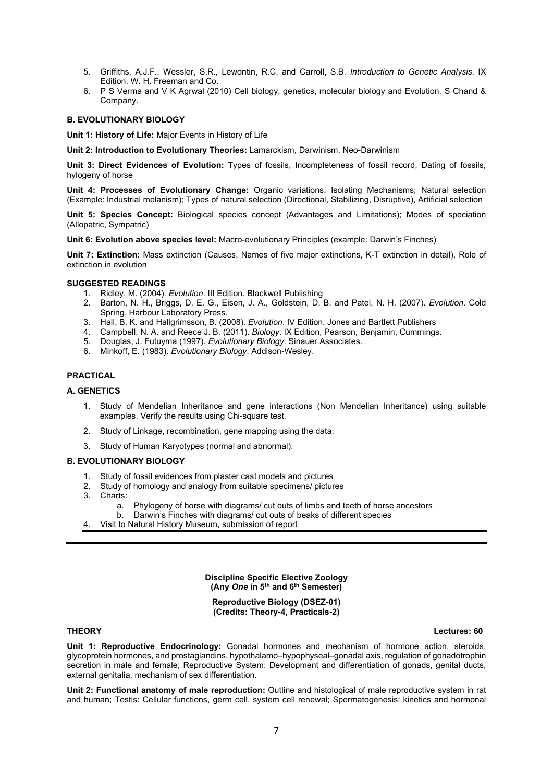- 5. Griffiths, A.J.F., Wessler, S.R., Lewontin, R.C. and Carroll, S.B. Introduction to Genetic Analysis. IX Edition. W. H. Freeman and Co.
- 6. P S Verma and V K Agrwal (2010) Cell biology, genetics, molecular biology and Evolution. S Chand & Company.

### B. EVOLUTIONARY BIOLOGY

Unit 1: History of Life: Major Events in History of Life

Unit 2: Introduction to Evolutionary Theories: Lamarckism, Darwinism, Neo-Darwinism

Unit 3: Direct Evidences of Evolution: Types of fossils, Incompleteness of fossil record, Dating of fossils, hylogeny of horse

Unit 4: Processes of Evolutionary Change: Organic variations; Isolating Mechanisms; Natural selection (Example: Industrial melanism); Types of natural selection (Directional, Stabilizing, Disruptive), Artificial selection

Unit 5: Species Concept: Biological species concept (Advantages and Limitations); Modes of speciation (Allopatric, Sympatric)

Unit 6: Evolution above species level: Macro-evolutionary Principles (example: Darwin's Finches)

Unit 7: Extinction: Mass extinction (Causes, Names of five major extinctions, K-T extinction in detail), Role of extinction in evolution

#### SUGGESTED READINGS

- 1. Ridley, M. (2004). Evolution. III Edition. Blackwell Publishing
- 2. Barton, N. H., Briggs, D. E. G., Eisen, J. A., Goldstein, D. B. and Patel, N. H. (2007). Evolution. Cold Spring, Harbour Laboratory Press.
- 3. Hall, B. K. and Hallgrimsson, B. (2008). Evolution. IV Edition. Jones and Bartlett Publishers
- 4. Campbell, N. A. and Reece J. B. (2011). Biology. IX Edition, Pearson, Benjamin, Cummings.
- 5. Douglas, J. Futuyma (1997). Evolutionary Biology. Sinauer Associates.
- 6. Minkoff, E. (1983). Evolutionary Biology. Addison-Wesley.

#### PRACTICAL

### A. GENETICS

- 1. Study of Mendelian Inheritance and gene interactions (Non Mendelian Inheritance) using suitable examples. Verify the results using Chi-square test.
- 2. Study of Linkage, recombination, gene mapping using the data.
- 3. Study of Human Karyotypes (normal and abnormal).

### B. EVOLUTIONARY BIOLOGY

- 1. Study of fossil evidences from plaster cast models and pictures
- 2. Study of homology and analogy from suitable specimens/ pictures
- 3. Charts:
	- a. Phylogeny of horse with diagrams/ cut outs of limbs and teeth of horse ancestors
	- b. Darwin's Finches with diagrams/ cut outs of beaks of different species
- 4. Visit to Natural History Museum, submission of report

Discipline Specific Elective Zoology (Any One in 5th and 6th Semester)

Reproductive Biology (DSEZ-01) (Credits: Theory-4, Practicals-2)

THEORY Lectures: 60

Unit 1: Reproductive Endocrinology: Gonadal hormones and mechanism of hormone action, steroids, glycoprotein hormones, and prostaglandins, hypothalamo–hypophyseal–gonadal axis, regulation of gonadotrophin secretion in male and female; Reproductive System: Development and differentiation of gonads, genital ducts, external genitalia, mechanism of sex differentiation.

Unit 2: Functional anatomy of male reproduction: Outline and histological of male reproductive system in rat and human; Testis: Cellular functions, germ cell, system cell renewal; Spermatogenesis: kinetics and hormonal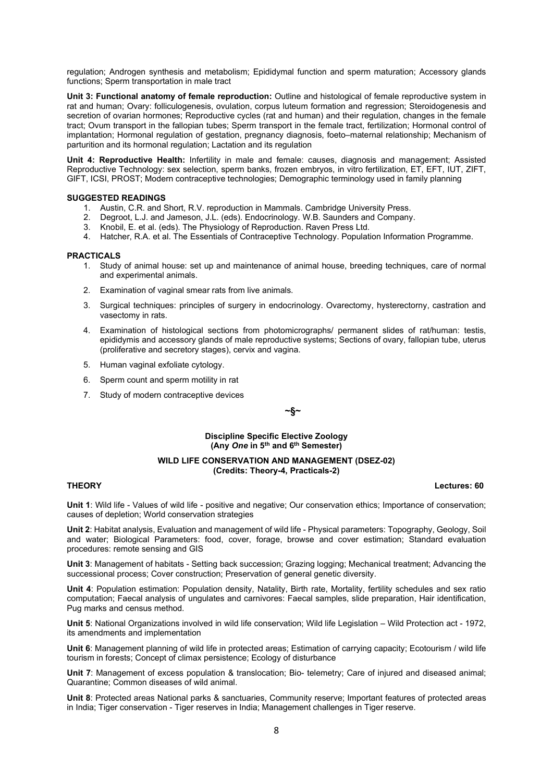regulation; Androgen synthesis and metabolism; Epididymal function and sperm maturation; Accessory glands functions: Sperm transportation in male tract

Unit 3: Functional anatomy of female reproduction: Outline and histological of female reproductive system in rat and human; Ovary: folliculogenesis, ovulation, corpus luteum formation and regression; Steroidogenesis and secretion of ovarian hormones; Reproductive cycles (rat and human) and their regulation, changes in the female tract; Ovum transport in the fallopian tubes; Sperm transport in the female tract, fertilization; Hormonal control of implantation; Hormonal regulation of gestation, pregnancy diagnosis, foeto–maternal relationship; Mechanism of parturition and its hormonal regulation; Lactation and its regulation

Unit 4: Reproductive Health: Infertility in male and female: causes, diagnosis and management; Assisted Reproductive Technology: sex selection, sperm banks, frozen embryos, in vitro fertilization, ET, EFT, IUT, ZIFT, GIFT, ICSI, PROST; Modern contraceptive technologies; Demographic terminology used in family planning

#### SUGGESTED READINGS

- 1. Austin, C.R. and Short, R.V. reproduction in Mammals. Cambridge University Press.
- 2. Degroot, L.J. and Jameson, J.L. (eds). Endocrinology. W.B. Saunders and Company.
- 3. Knobil, E. et al. (eds). The Physiology of Reproduction. Raven Press Ltd.
- 4. Hatcher, R.A. et al. The Essentials of Contraceptive Technology. Population Information Programme.

#### PRACTICALS

- 1. Study of animal house: set up and maintenance of animal house, breeding techniques, care of normal and experimental animals.
- 2. Examination of vaginal smear rats from live animals.
- 3. Surgical techniques: principles of surgery in endocrinology. Ovarectomy, hysterectorny, castration and vasectomy in rats.
- 4. Examination of histological sections from photomicrographs/ permanent slides of rat/human: testis, epididymis and accessory glands of male reproductive systems; Sections of ovary, fallopian tube, uterus (proliferative and secretory stages), cervix and vagina.
- 5. Human vaginal exfoliate cytology.
- 6. Sperm count and sperm motility in rat
- 7. Study of modern contraceptive devices

~§~

#### Discipline Specific Elective Zoology (Any One in 5th and 6th Semester)

#### WILD LIFE CONSERVATION AND MANAGEMENT (DSEZ-02) (Credits: Theory-4, Practicals-2)

#### THEORY Lectures: 60

Unit 1: Wild life - Values of wild life - positive and negative; Our conservation ethics; Importance of conservation; causes of depletion; World conservation strategies

Unit 2: Habitat analysis, Evaluation and management of wild life - Physical parameters: Topography, Geology, Soil and water; Biological Parameters: food, cover, forage, browse and cover estimation; Standard evaluation procedures: remote sensing and GIS

Unit 3: Management of habitats - Setting back succession; Grazing logging; Mechanical treatment; Advancing the successional process; Cover construction; Preservation of general genetic diversity.

Unit 4: Population estimation: Population density, Natality, Birth rate, Mortality, fertility schedules and sex ratio computation; Faecal analysis of ungulates and carnivores: Faecal samples, slide preparation, Hair identification, Pug marks and census method.

Unit 5: National Organizations involved in wild life conservation; Wild life Legislation – Wild Protection act - 1972, its amendments and implementation

Unit 6: Management planning of wild life in protected areas; Estimation of carrying capacity; Ecotourism / wild life tourism in forests; Concept of climax persistence; Ecology of disturbance

Unit 7: Management of excess population & translocation; Bio- telemetry; Care of injured and diseased animal; Quarantine; Common diseases of wild animal.

Unit 8: Protected areas National parks & sanctuaries, Community reserve; Important features of protected areas in India; Tiger conservation - Tiger reserves in India; Management challenges in Tiger reserve.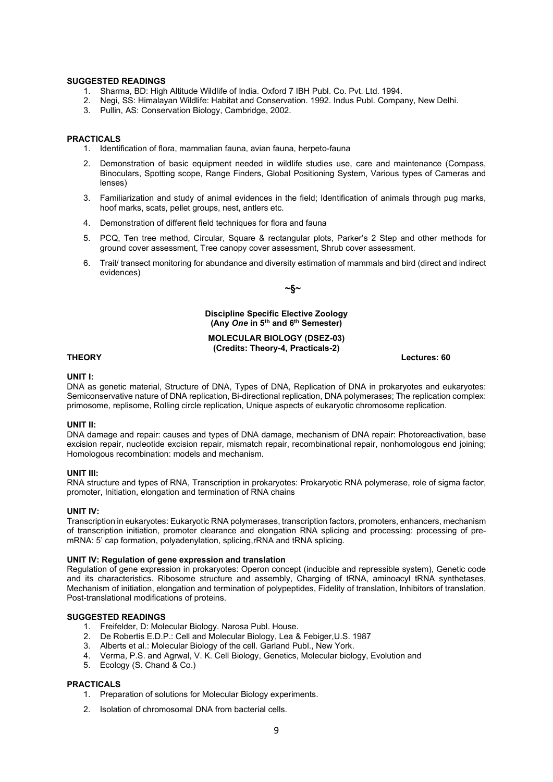#### SUGGESTED READINGS

- 1. Sharma, BD: High Altitude Wildlife of India. Oxford 7 IBH Publ. Co. Pvt. Ltd. 1994.
- 2. Negi, SS: Himalayan Wildlife: Habitat and Conservation. 1992. Indus Publ. Company, New Delhi.
- 3. Pullin, AS: Conservation Biology, Cambridge, 2002.

#### PRACTICALS

- 1. Identification of flora, mammalian fauna, avian fauna, herpeto-fauna
- 2. Demonstration of basic equipment needed in wildlife studies use, care and maintenance (Compass, Binoculars, Spotting scope, Range Finders, Global Positioning System, Various types of Cameras and lenses)
- 3. Familiarization and study of animal evidences in the field; Identification of animals through pug marks, hoof marks, scats, pellet groups, nest, antlers etc.
- 4. Demonstration of different field techniques for flora and fauna
- 5. PCQ, Ten tree method, Circular, Square & rectangular plots, Parker's 2 Step and other methods for ground cover assessment, Tree canopy cover assessment, Shrub cover assessment.
- 6. Trail/ transect monitoring for abundance and diversity estimation of mammals and bird (direct and indirect evidences)

 $-\S$ ~

# Discipline Specific Elective Zoology (Any One in 5th and 6th Semester)

#### MOLECULAR BIOLOGY (DSEZ-03) (Credits: Theory-4, Practicals-2)

#### THEORY Lectures: 60

#### UNIT I:

DNA as genetic material, Structure of DNA, Types of DNA, Replication of DNA in prokaryotes and eukaryotes: Semiconservative nature of DNA replication, Bi-directional replication, DNA polymerases; The replication complex: primosome, replisome, Rolling circle replication, Unique aspects of eukaryotic chromosome replication.

#### UNIT II:

DNA damage and repair: causes and types of DNA damage, mechanism of DNA repair: Photoreactivation, base excision repair, nucleotide excision repair, mismatch repair, recombinational repair, nonhomologous end joining; Homologous recombination: models and mechanism.

#### UNIT III:

RNA structure and types of RNA, Transcription in prokaryotes: Prokaryotic RNA polymerase, role of sigma factor, promoter, Initiation, elongation and termination of RNA chains

#### UNIT IV:

Transcription in eukaryotes: Eukaryotic RNA polymerases, transcription factors, promoters, enhancers, mechanism of transcription initiation, promoter clearance and elongation RNA splicing and processing: processing of premRNA: 5' cap formation, polyadenylation, splicing, rRNA and tRNA splicing.

#### UNIT IV: Regulation of gene expression and translation

Regulation of gene expression in prokaryotes: Operon concept (inducible and repressible system), Genetic code and its characteristics. Ribosome structure and assembly, Charging of tRNA, aminoacyl tRNA synthetases, Mechanism of initiation, elongation and termination of polypeptides, Fidelity of translation, Inhibitors of translation, Post-translational modifications of proteins.

#### SUGGESTED READINGS

- 1. Freifelder, D: Molecular Biology. Narosa Publ. House.
- 2. De Robertis E.D.P.: Cell and Molecular Biology, Lea & Febiger,U.S. 1987
- 3. Alberts et al.: Molecular Biology of the cell. Garland Publ., New York.
- 4. Verma, P.S. and Agrwal, V. K. Cell Biology, Genetics, Molecular biology, Evolution and
- 5. Ecology (S. Chand & Co.)

#### PRACTICALS

- 1. Preparation of solutions for Molecular Biology experiments.
- 2. Isolation of chromosomal DNA from bacterial cells.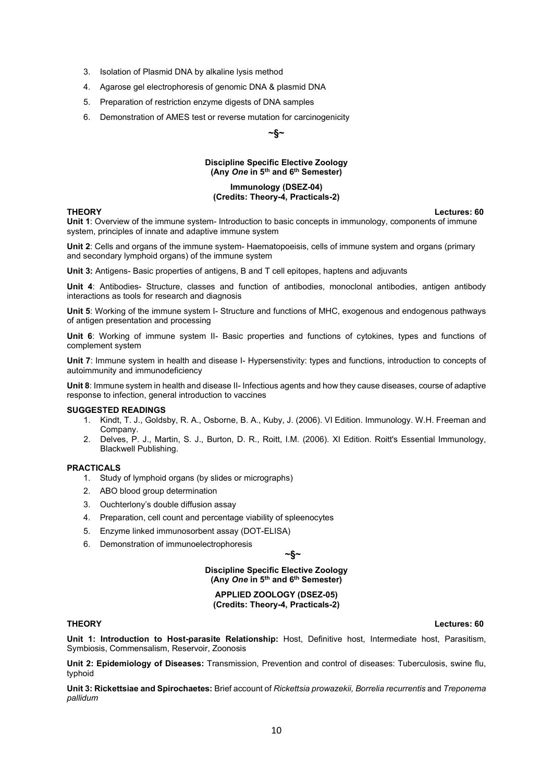- 3. Isolation of Plasmid DNA by alkaline lysis method
- 4. Agarose gel electrophoresis of genomic DNA & plasmid DNA
- 5. Preparation of restriction enzyme digests of DNA samples
- 6. Demonstration of AMES test or reverse mutation for carcinogenicity

# ~§~

#### Discipline Specific Elective Zoology (Any One in 5th and 6th Semester)

#### Immunology (DSEZ-04) (Credits: Theory-4, Practicals-2)

THEORY Lectures: 60 Unit 1: Overview of the immune system- Introduction to basic concepts in immunology, components of immune system, principles of innate and adaptive immune system

Unit 2: Cells and organs of the immune system- Haematopoeisis, cells of immune system and organs (primary and secondary lymphoid organs) of the immune system

Unit 3: Antigens- Basic properties of antigens, B and T cell epitopes, haptens and adjuvants

Unit 4: Antibodies- Structure, classes and function of antibodies, monoclonal antibodies, antigen antibody interactions as tools for research and diagnosis

Unit 5: Working of the immune system I- Structure and functions of MHC, exogenous and endogenous pathways of antigen presentation and processing

Unit 6: Working of immune system II- Basic properties and functions of cytokines, types and functions of complement system

Unit 7: Immune system in health and disease I- Hypersenstivity: types and functions, introduction to concepts of autoimmunity and immunodeficiency

Unit 8: Immune system in health and disease II- Infectious agents and how they cause diseases, course of adaptive response to infection, general introduction to vaccines

#### SUGGESTED READINGS

- 1. Kindt, T. J., Goldsby, R. A., Osborne, B. A., Kuby, J. (2006). VI Edition. Immunology. W.H. Freeman and Company.
- 2. Delves, P. J., Martin, S. J., Burton, D. R., Roitt, I.M. (2006). XI Edition. Roitt's Essential Immunology, Blackwell Publishing.

#### **PRACTICALS**

- 1. Study of lymphoid organs (by slides or micrographs)
- 2. ABO blood group determination
- 3. Ouchterlony's double diffusion assay
- 4. Preparation, cell count and percentage viability of spleenocytes
- 5. Enzyme linked immunosorbent assay (DOT-ELISA)
- 6. Demonstration of immunoelectrophoresis

~§~

Discipline Specific Elective Zoology (Any One in 5th and 6th Semester)

APPLIED ZOOLOGY (DSEZ-05) (Credits: Theory-4, Practicals-2)

Unit 1: Introduction to Host-parasite Relationship: Host, Definitive host, Intermediate host, Parasitism, Symbiosis, Commensalism, Reservoir, Zoonosis

Unit 2: Epidemiology of Diseases: Transmission, Prevention and control of diseases: Tuberculosis, swine flu, typhoid

Unit 3: Rickettsiae and Spirochaetes: Brief account of Rickettsia prowazekii, Borrelia recurrentis and Treponema pallidum

THEORY Lectures: 60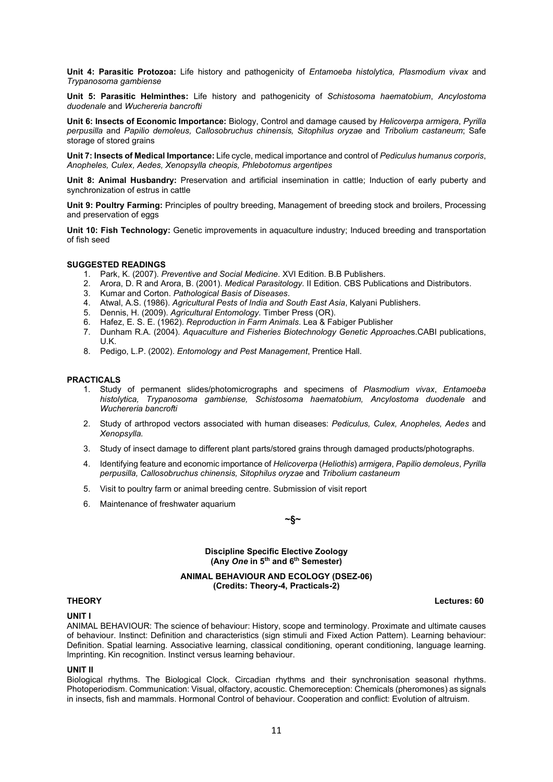Unit 4: Parasitic Protozoa: Life history and pathogenicity of Entamoeba histolytica, Plasmodium vivax and Trypanosoma gambiense

Unit 5: Parasitic Helminthes: Life history and pathogenicity of Schistosoma haematobium, Ancylostoma duodenale and Wuchereria bancrofti

Unit 6: Insects of Economic Importance: Biology, Control and damage caused by Helicoverpa armigera, Pyrilla perpusilla and Papilio demoleus, Callosobruchus chinensis, Sitophilus oryzae and Tribolium castaneum; Safe storage of stored grains

Unit 7: Insects of Medical Importance: Life cycle, medical importance and control of Pediculus humanus corporis, Anopheles, Culex, Aedes, Xenopsylla cheopis, Phlebotomus argentipes

Unit 8: Animal Husbandry: Preservation and artificial insemination in cattle; Induction of early puberty and synchronization of estrus in cattle

Unit 9: Poultry Farming: Principles of poultry breeding, Management of breeding stock and broilers, Processing and preservation of eggs

Unit 10: Fish Technology: Genetic improvements in aquaculture industry; Induced breeding and transportation of fish seed

### SUGGESTED READINGS

- 1. Park, K. (2007). Preventive and Social Medicine. XVI Edition. B.B Publishers.
- 2. Arora, D. R and Arora, B. (2001). Medical Parasitology. II Edition. CBS Publications and Distributors.
- 3. Kumar and Corton. Pathological Basis of Diseases.
- 4. Atwal, A.S. (1986). Agricultural Pests of India and South East Asia, Kalyani Publishers.
- 5. Dennis, H. (2009). Agricultural Entomology. Timber Press (OR).
- 6. Hafez, E. S. E. (1962). Reproduction in Farm Animals. Lea & Fabiger Publisher
- 7. Dunham R.A. (2004). Aquaculture and Fisheries Biotechnology Genetic Approaches.CABI publications, U.K.
- 8. Pedigo, L.P. (2002). *Entomology and Pest Management*, Prentice Hall.

#### **PRACTICALS**

- 1. Study of permanent slides/photomicrographs and specimens of Plasmodium vivax, Entamoeba histolytica, Trypanosoma gambiense, Schistosoma haematobium, Ancylostoma duodenale and Wuchereria bancrofti
- 2. Study of arthropod vectors associated with human diseases: Pediculus, Culex, Anopheles, Aedes and Xenopsylla.
- 3. Study of insect damage to different plant parts/stored grains through damaged products/photographs.
- 4. Identifying feature and economic importance of Helicoverpa (Heliothis) armigera, Papilio demoleus, Pyrilla perpusilla, Callosobruchus chinensis, Sitophilus oryzae and Tribolium castaneum
- 5. Visit to poultry farm or animal breeding centre. Submission of visit report
- 6. Maintenance of freshwater aquarium

#### ~§~

#### Discipline Specific Elective Zoology (Any One in 5th and 6th Semester)

#### ANIMAL BEHAVIOUR AND ECOLOGY (DSEZ-06) (Credits: Theory-4, Practicals-2)

THEORY Lectures: 60

### UNIT I

ANIMAL BEHAVIOUR: The science of behaviour: History, scope and terminology. Proximate and ultimate causes of behaviour. Instinct: Definition and characteristics (sign stimuli and Fixed Action Pattern). Learning behaviour: Definition. Spatial learning. Associative learning, classical conditioning, operant conditioning, language learning. Imprinting. Kin recognition. Instinct versus learning behaviour.

#### UNIT II

Biological rhythms. The Biological Clock. Circadian rhythms and their synchronisation seasonal rhythms. Photoperiodism. Communication: Visual, olfactory, acoustic. Chemoreception: Chemicals (pheromones) as signals in insects, fish and mammals. Hormonal Control of behaviour. Cooperation and conflict: Evolution of altruism.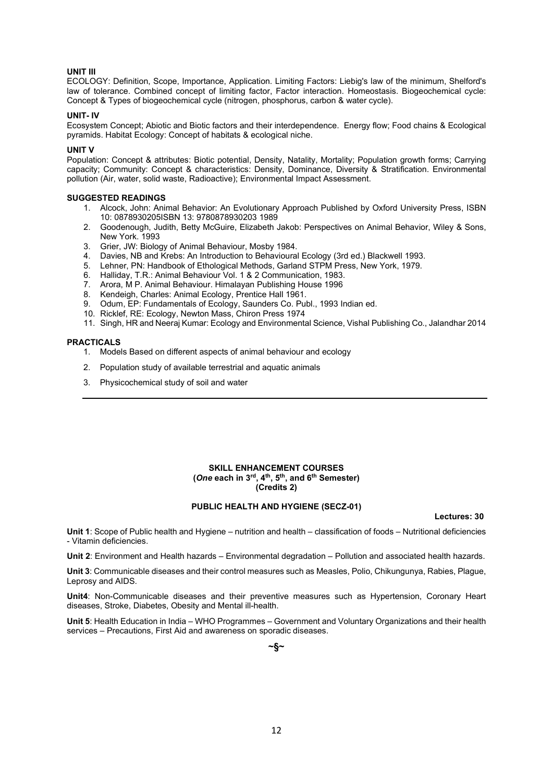# UNIT III

ECOLOGY: Definition, Scope, Importance, Application. Limiting Factors: Liebig's law of the minimum, Shelford's law of tolerance. Combined concept of limiting factor, Factor interaction. Homeostasis. Biogeochemical cycle: Concept & Types of biogeochemical cycle (nitrogen, phosphorus, carbon & water cycle).

#### UNIT- IV

Ecosystem Concept; Abiotic and Biotic factors and their interdependence. Energy flow; Food chains & Ecological pyramids. Habitat Ecology: Concept of habitats & ecological niche.

#### UNIT V

Population: Concept & attributes: Biotic potential, Density, Natality, Mortality; Population growth forms; Carrying capacity; Community: Concept & characteristics: Density, Dominance, Diversity & Stratification. Environmental pollution (Air, water, solid waste, Radioactive); Environmental Impact Assessment.

#### SUGGESTED READINGS

- 1. Alcock, John: Animal Behavior: An Evolutionary Approach Published by Oxford University Press, ISBN 10: 0878930205ISBN 13: 9780878930203 1989
- 2. Goodenough, Judith, Betty McGuire, Elizabeth Jakob: Perspectives on Animal Behavior, Wiley & Sons, New York. 1993
- 3. Grier, JW: Biology of Animal Behaviour, Mosby 1984.
- 4. Davies, NB and Krebs: An Introduction to Behavioural Ecology (3rd ed.) Blackwell 1993.
- 5. Lehner, PN: Handbook of Ethological Methods, Garland STPM Press, New York, 1979.
- 6. Halliday, T.R.: Animal Behaviour Vol. 1 & 2 Communication, 1983.
- 7. Arora, M P. Animal Behaviour. Himalayan Publishing House 1996
- 8. Kendeigh, Charles: Animal Ecology, Prentice Hall 1961.
- 9. Odum, EP: Fundamentals of Ecology, Saunders Co. Publ., 1993 Indian ed.
- 10. Ricklef, RE: Ecology, Newton Mass, Chiron Press 1974
- 11. Singh, HR and Neeraj Kumar: Ecology and Environmental Science, Vishal Publishing Co., Jalandhar 2014

#### **PRACTICALS**

- 1. Models Based on different aspects of animal behaviour and ecology
- 2. Population study of available terrestrial and aquatic animals
- 3. Physicochemical study of soil and water

#### SKILL ENHANCEMENT COURSES (One each in 3<sup>rd</sup>, 4<sup>th</sup>, 5<sup>th</sup>, and 6<sup>th</sup> Semester) (Credits 2)

### PUBLIC HEALTH AND HYGIENE (SECZ-01)

Lectures: 30

Unit 1: Scope of Public health and Hygiene – nutrition and health – classification of foods – Nutritional deficiencies - Vitamin deficiencies.

Unit 2: Environment and Health hazards – Environmental degradation – Pollution and associated health hazards.

Unit 3: Communicable diseases and their control measures such as Measles, Polio, Chikungunya, Rabies, Plague, Leprosy and AIDS.

Unit4: Non-Communicable diseases and their preventive measures such as Hypertension, Coronary Heart diseases, Stroke, Diabetes, Obesity and Mental ill-health.

Unit 5: Health Education in India – WHO Programmes – Government and Voluntary Organizations and their health services – Precautions, First Aid and awareness on sporadic diseases.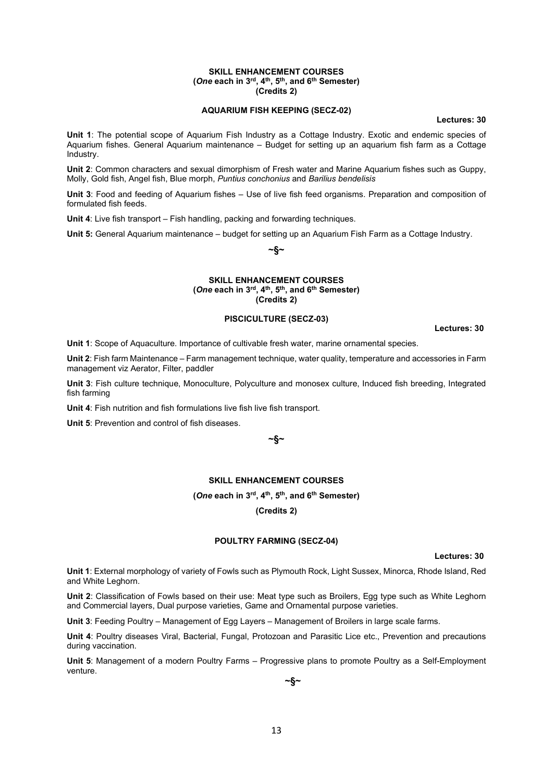#### SKILL ENHANCEMENT COURSES (One each in 3<sup>rd</sup>, 4<sup>th</sup>, 5<sup>th</sup>, and 6<sup>th</sup> Semester) (Credits 2)

# AQUARIUM FISH KEEPING (SECZ-02)

Lectures: 30

Unit 1: The potential scope of Aquarium Fish Industry as a Cottage Industry. Exotic and endemic species of Aquarium fishes. General Aquarium maintenance – Budget for setting up an aquarium fish farm as a Cottage Industry.

Unit 2: Common characters and sexual dimorphism of Fresh water and Marine Aquarium fishes such as Guppy, Molly, Gold fish, Angel fish, Blue morph, Puntius conchonius and Barilius bendelisis

Unit 3: Food and feeding of Aquarium fishes – Use of live fish feed organisms. Preparation and composition of formulated fish feeds.

Unit 4: Live fish transport – Fish handling, packing and forwarding techniques.

Unit 5: General Aquarium maintenance – budget for setting up an Aquarium Fish Farm as a Cottage Industry.

~§~

#### SKILL ENHANCEMENT COURSES (One each in 3rd, 4th, 5th, and 6th Semester) (Credits 2)

#### PISCICULTURE (SECZ-03)

Lectures: 30

Unit 1: Scope of Aquaculture. Importance of cultivable fresh water, marine ornamental species.

Unit 2: Fish farm Maintenance – Farm management technique, water quality, temperature and accessories in Farm management viz Aerator, Filter, paddler

Unit 3: Fish culture technique, Monoculture, Polyculture and monosex culture, Induced fish breeding, Integrated fish farming

Unit 4: Fish nutrition and fish formulations live fish live fish transport.

Unit 5: Prevention and control of fish diseases.

~§~

# SKILL ENHANCEMENT COURSES

### (One each in 3rd, 4th, 5th, and 6th Semester)

(Credits 2)

#### POULTRY FARMING (SECZ-04)

Lectures: 30

Unit 1: External morphology of variety of Fowls such as Plymouth Rock, Light Sussex, Minorca, Rhode Island, Red and White Leghorn.

Unit 2: Classification of Fowls based on their use: Meat type such as Broilers, Egg type such as White Leghorn and Commercial layers, Dual purpose varieties, Game and Ornamental purpose varieties.

Unit 3: Feeding Poultry – Management of Egg Layers – Management of Broilers in large scale farms.

Unit 4: Poultry diseases Viral, Bacterial, Fungal, Protozoan and Parasitic Lice etc., Prevention and precautions during vaccination.

Unit 5: Management of a modern Poultry Farms – Progressive plans to promote Poultry as a Self-Employment venture.

~§~